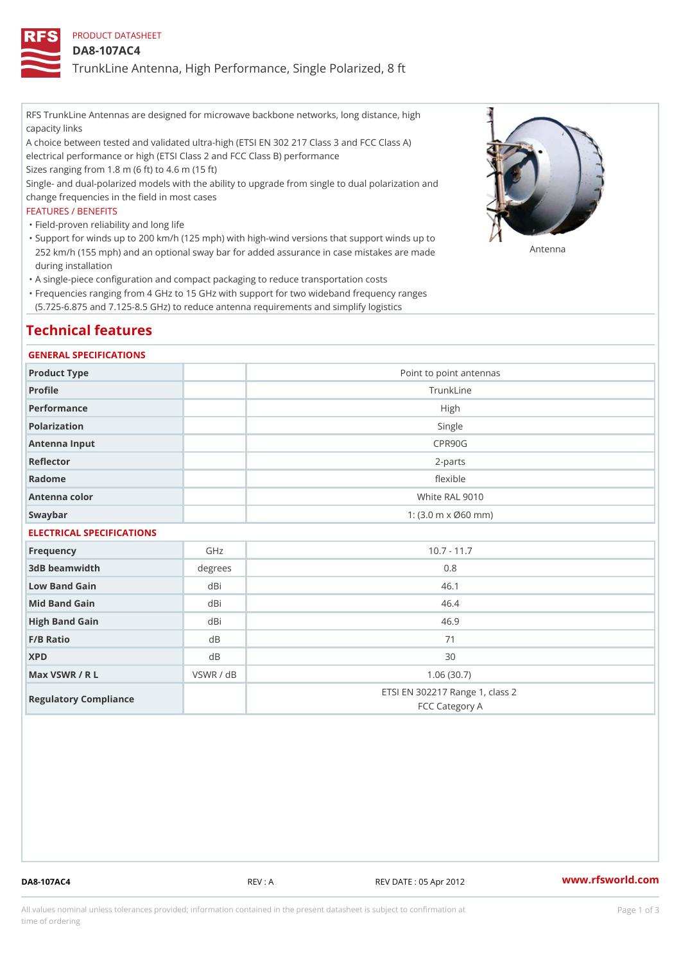## PRODUCT DATASHEET

### DA8-107AC4

TrunkLine Antenna, High Performance, Single Polarized, 8 ft

RFS TrunkLine Antennas are designed for microwave backbone networks, long distance, high capacity links

A choice between tested and validated ultra-high (ETSI EN 302 217 Class 3 and FCC Class A) electrical performance or high (ETSI Class 2 and FCC Class B) performance

Sizes ranging from 1.8 m (6 ft) to 4.6 m (15 ft)

Single- and dual-polarized models with the ability to upgrade from single to dual polarization and change frequencies in the field in most cases

### FEATURES / BENEFITS

"Field-proven reliability and long life

- Support for winds up to 200 km/h (125 mph) with high-wind versions that support winds up to " 252 km/h (155 mph) and an optional sway bar for added assurance in case m S # \$ R & B are made during installation
- "A single-piece configuration and compact packaging to reduce transportation costs
- Frequencies ranging from 4 GHz to 15 GHz with support for two wideband frequency ranges " (5.725-6.875 and 7.125-8.5 GHz) to reduce antenna requirements and simplify logistics

## Technical features

### GENERAL SPECIFICATIONS

| Product Type  | Point to point antennas |
|---------------|-------------------------|
| Profile       | TrunkLine               |
| Performance   | High                    |
| Polarization  | Single                  |
| Antenna Input | CPR90G                  |
| Reflector     | 2-parts                 |
| Radome        | flexible                |
| Antenna color | White RAL 9010          |
| Swaybar       | 1: (3.0 m x Ø60 mm)     |

## ELECTRICAL SPECIFICATIONS

| Frequency             | GHz       | $10.7 - 11.7$                                     |
|-----------------------|-----------|---------------------------------------------------|
| 3dB beamwidth         | degree    | 0.8                                               |
| Low Band Gain         | dBi       | 46.1                                              |
| Mid Band Gain         | dBi       | 46.4                                              |
| High Band Gain        | dBi       | 46.9                                              |
| $F/B$ Ratio           | d B       | 71                                                |
| <b>XPD</b>            | d B       | 30                                                |
| Max VSWR / R L        | VSWR / dB | 1.06(30.7)                                        |
| Regulatory Compliance |           | ETSI EN 302217 Range 1, class 2<br>FCC Category A |

DA8-107AC4 REV : A REV DATE : 05 Apr 2012 [www.](https://www.rfsworld.com)rfsworld.com

All values nominal unless tolerances provided; information contained in the present datasheet is subject to Pcapgeign mation time of ordering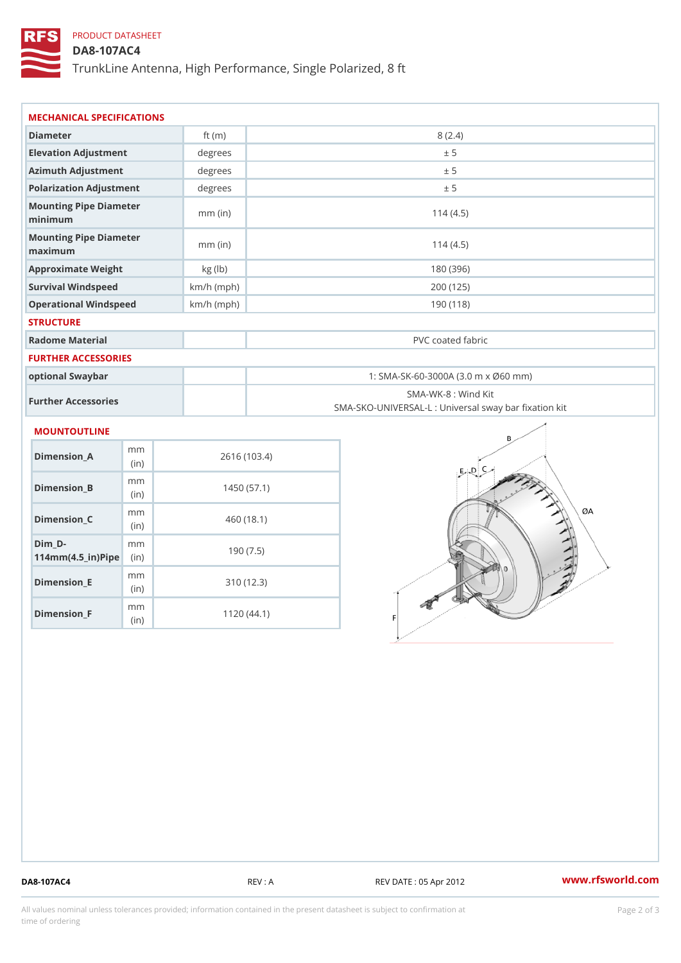# PRODUCT DATASHEET

## DA8-107AC4

TrunkLine Antenna, High Performance, Single Polarized, 8 ft

| MECHANICAL SPECIFICATIONS                                             |              |                                                                          |  |  |  |  |
|-----------------------------------------------------------------------|--------------|--------------------------------------------------------------------------|--|--|--|--|
| Diameter                                                              | ft $(m)$     | 8(2.4)                                                                   |  |  |  |  |
| Elevation Adjustment                                                  | degrees      | ± 5                                                                      |  |  |  |  |
| Azimuth Adjustment                                                    | degrees      | ± 5                                                                      |  |  |  |  |
| Polarization Adjustment                                               | degrees      | ± 5                                                                      |  |  |  |  |
| Mounting Pipe Diameter<br>minimum                                     | $mm$ (in)    | 114(4.5)                                                                 |  |  |  |  |
| Mounting Pipe Diameter<br>maximum                                     | $mm$ (in)    | 114(4.5)                                                                 |  |  |  |  |
| Approximate Weight                                                    | kg (lb)      | 180 (396)                                                                |  |  |  |  |
| Survival Windspeed                                                    | $km/h$ (mph) | 200 (125)                                                                |  |  |  |  |
| Operational Windspeed                                                 | $km/h$ (mph) | 190(118)                                                                 |  |  |  |  |
| <b>STRUCTURE</b>                                                      |              |                                                                          |  |  |  |  |
| Radome Material                                                       |              | PVC coated fabric                                                        |  |  |  |  |
| FURTHER ACCESSORIES                                                   |              |                                                                          |  |  |  |  |
| optional Swaybar                                                      |              | 1: SMA-SK-60-3000A (3.0 m x Ø60 mm)                                      |  |  |  |  |
| Further Accessories                                                   |              | SMA-WK-8 : Wind Kit<br>SMA-SKO-UNIVERSAL-L : Universal sway bar fixation |  |  |  |  |
| MOUNTOUTLINE                                                          |              |                                                                          |  |  |  |  |
| m <sub>m</sub><br>$Dimension_A$<br>(in)                               |              | 2616 (103.4)                                                             |  |  |  |  |
| m m<br>$Dimension_B$<br>(in)                                          |              | 1450(57.1)                                                               |  |  |  |  |
| m m<br>$Dimension_C$<br>(in                                           |              | 460(18.1)                                                                |  |  |  |  |
| $Dim_D -$<br>m m<br>$114$ m m (4.5 _ ir ) $\sqrt{$ im $\cdot$ $\cdot$ |              | 190(7.5)                                                                 |  |  |  |  |

Dimension\_E

Dimension\_F

mm (in)

m<sub>m</sub> (in)

310 (12.3)

1120 (44.1)

DA8-107AC4 REV : A REV DATE : 05 Apr 2012 [www.](https://www.rfsworld.com)rfsworld.com